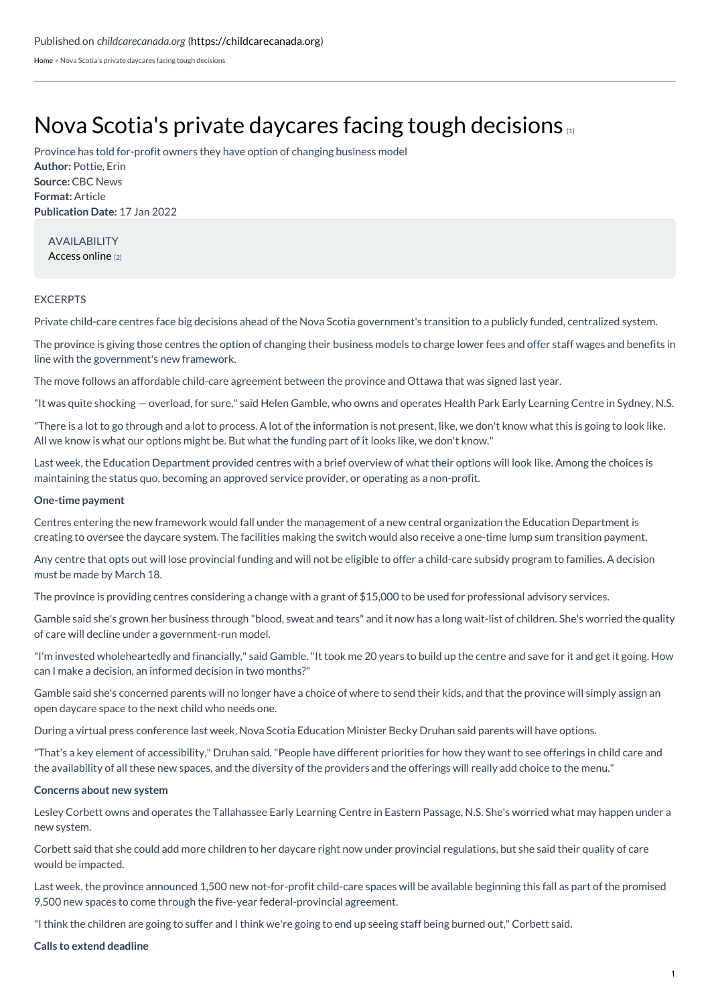[Home](https://childcarecanada.org/) > Nova Scotia's private daycares facing tough decisions

# Nova Scotia's private daycares facing tough [decisions](https://childcarecanada.org/documents/child-care-news/22/01/nova-scotias-private-daycares-facing-tough-decisions)

**Author:** Pottie, Erin **Source:** CBC News **Format:** Article **Publication Date:** 17 Jan 2022 Province has told for-profit owners they have option of changing business model

AVAILABILITY [Access](https://www.cbc.ca/news/canada/nova-scotia/nova-scotia-s-private-daycares-facing-tough-decisions-1.6315933) online [2]

## EXCERPTS

Private child-care centres face big decisions ahead of the Nova Scotia government's transition to a publicly funded, centralized system.

The province is giving those centres the option of changing their business models to charge lower fees and offer staff wages and benefits in line with the government's new framework.

The move follows an affordable child-care agreement between the province and Ottawa that was signed last year.

"It was quite shocking — overload, for sure," said Helen Gamble, who owns and operates Health Park Early Learning Centre in Sydney, N.S.

"There is a lot to go through and a lot to process. A lot of the information is not present, like, we don't know what this is going to look like. All we know is what our options might be. But what the funding part of it looks like, we don't know."

Last week, the Education Department provided centres with a brief overview of what their options will look like. Among the choices is maintaining the status quo, becoming an approved service provider, or operating as a non-profit.

### **One-time payment**

Centres entering the new framework would fall under the management of a new central organization the Education Department is creating to oversee the daycare system. The facilities making the switch would also receive a one-time lump sum transition payment.

Any centre that opts out will lose provincial funding and will not be eligible to offer a child-care subsidy program to families. A decision must be made by March 18.

The province is providing centres considering a change with a grant of \$15,000 to be used for professional advisory services.

Gamble said she's grown her business through "blood, sweat and tears" and it now has a long wait-list of children. She's worried the quality of care will decline under a government-run model.

"I'm invested wholeheartedly and financially," said Gamble."It took me 20 years to build up the centre and save for it and get it going. How can I make a decision, an informed decision in two months?"

Gamble said she's concerned parents will no longer have a choice of where to send their kids, and that the province will simply assign an open daycare space to the next child who needs one.

During a virtual press conference last week, Nova Scotia Education Minister Becky Druhan said parents will have options.

"That's a key element of accessibility," Druhan said."People have different priorities for how they want to see offerings in child care and the availability of all these new spaces, and the diversity of the providers and the offerings will really add choice to the menu."

### **Concerns about new system**

Lesley Corbett owns and operates the Tallahassee Early Learning Centre in Eastern Passage, N.S. She's worried what may happen under a new system.

Corbett said that she could add more children to her daycare right now under provincial regulations, but she said their quality of care would be impacted.

Last week, the province announced 1,500 new not-for-profit child-care spaces will be available beginning this fall as part of the promised 9,500 new spaces to come through the five-year federal-provincial agreement.

"I think the children are going to suffer and I think we're going to end up seeing staff being burned out," Corbett said.

### **Calls to extend deadline**